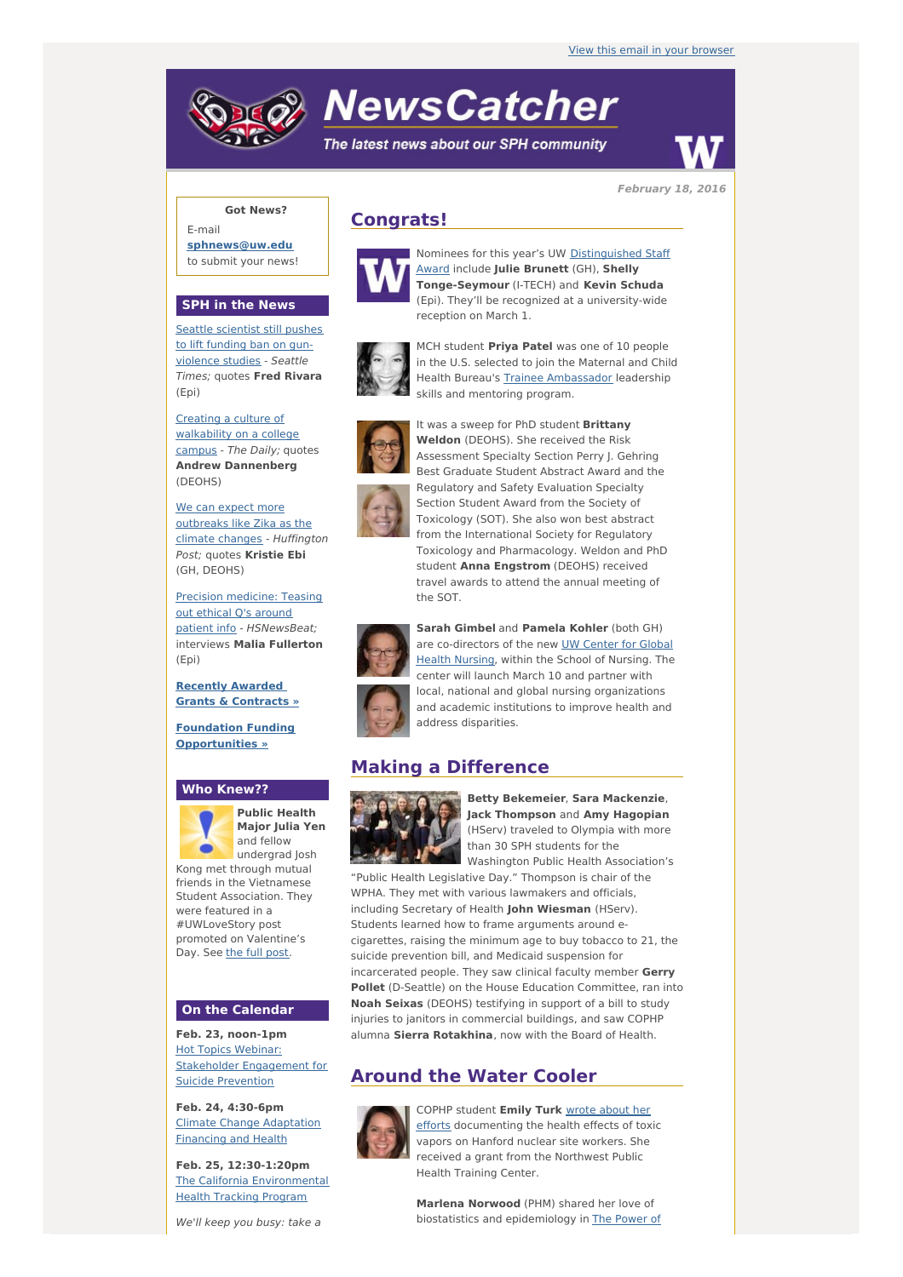# **NewsCatcher**

The latest news about our SPH community



**February 18, 2016**

# **Got News?**

E-mail **[sphnews@uw.edu](mailto:sphnews@uw.edu)** to submit your news!

### **SPH in the News**

Seattle [scientist](http://engage.washington.edu/site/R?i=2cVfzsPoUIW9ynQHZWOMCg) still pushes to lift funding ban on gunviolence studies - Seattle Times; quotes **Fred Rivara** (Epi)

Creating a culture of [walkability](http://engage.washington.edu/site/R?i=6APN8MvlohadErS5hWLl8Q) on a college campus - The Daily; quotes **Andrew Dannenberg** (DEOHS)

We can expect more [outbreaks](http://engage.washington.edu/site/R?i=CFbkc75yZEXVWggeJ3hfpA) like Zika as the climate changes - Huffington Post; quotes **Kristie Ebi** (GH, DEOHS)

Precision medicine: Teasing out ethical Q's around patient info - [HSNewsBeat;](http://engage.washington.edu/site/R?i=3N5jj_Cgufp_lWJiqaemBw) interviews **Malia Fullerton** (Epi)

**Recently [Awarded](http://engage.washington.edu/site/R?i=4ZfQdc_d5thVeB0vS-ClJA) Grants & Contracts »**

**Foundation Funding [Opportunities](http://engage.washington.edu/site/R?i=616NQM8bAk2G1p0Zk8QovQ) »**

## **Who Knew??**



**Public Health Major Julia Yen** and fellow undergrad Josh

Kong met through mutual friends in the Vietnamese Student Association. They were featured in a #UWLoveStory post promoted on Valentine's Day. See the full [post](http://engage.washington.edu/site/R?i=3lvzfdru1sn20G9Xph56SQ).

#### **On the Calendar**

**Feb. 23, noon-1pm Hot Topics Webinar:** Stakeholder [Engagement](http://engage.washington.edu/site/R?i=nyAo_rTqECrBHeWHqpbOlg) for Suicide Prevention

**Feb. 24, 4:30-6pm** Climate Change [Adaptation](http://engage.washington.edu/site/R?i=kzU5r3mvYe3X9TXnhi-0Mg) Financing and Health

**Feb. 25, 12:30-1:20pm** The California [Environmental](http://engage.washington.edu/site/R?i=ojQHtL5knSG8_ddz9j472g) Health Tracking Program

We'll keep you busy: take a





Nominees for this year's UW [Distinguished](http://engage.washington.edu/site/R?i=9_kTgTZ-RBCurT0h_uAT1g) Staff Award include **Julie Brunett** (GH), **Shelly Tonge-Seymour** (I-TECH) and **Kevin Schuda** (Epi). They'll be recognized at a university-wide reception on March 1.



MCH student **Priya Patel** was one of 10 people in the U.S. selected to join the Maternal and Child Health Bureau's Trainee [Ambassador](http://engage.washington.edu/site/R?i=oo92JxFLQ8LZgeaD2Fayuw) leadership skills and mentoring program.

It was a sweep for PhD student **Brittany**



Assessment Specialty Section Perry J. Gehring Best Graduate Student Abstract Award and the Regulatory and Safety Evaluation Specialty Section Student Award from the Society of Toxicology (SOT). She also won best abstract from the International Society for Regulatory Toxicology and Pharmacology. Weldon and PhD student **Anna Engstrom** (DEOHS) received travel awards to attend the annual meeting of the SOT.



**Sarah Gimbel** and **Pamela Kohler** (both GH) are [co-directors](http://engage.washington.edu/site/R?i=R1yP-_4EKbW9DxrRFrIJiA) of the new UW Center for Global Health Nursing, within the School of Nursing. The center will launch March 10 and partner with local, national and global nursing organizations and academic institutions to improve health and address disparities.

# **Making a Difference**



**Betty Bekemeier**, **Sara Mackenzie**, **Jack Thompson** and **Amy Hagopian** (HServ) traveled to Olympia with more than 30 SPH students for the Washington Public Health Association's

"Public Health Legislative Day." Thompson is chair of the WPHA. They met with various lawmakers and officials, including Secretary of Health **John Wiesman** (HServ). Students learned how to frame arguments around ecigarettes, raising the minimum age to buy tobacco to 21, the suicide prevention bill, and Medicaid suspension for incarcerated people. They saw clinical faculty member **Gerry Pollet** (D-Seattle) on the House Education Committee, ran into **Noah Seixas** (DEOHS) testifying in support of a bill to study injuries to janitors in commercial buildings, and saw COPHP alumna **Sierra Rotakhina**, now with the Board of Health.

# **Around the Water Cooler**



COPHP student **Emily Turk** wrote about her efforts [documenting](http://engage.washington.edu/site/R?i=I_2Qoob2DrnkJlCOnJkbqw) the health effects of toxic vapors on Hanford nuclear site workers. She received a grant from the Northwest Public Health Training Center.

**Marlena Norwood** (PHM) shared her love of biostatistics and [epidemiology](http://engage.washington.edu/site/R?i=jtGvsaJvGVJYYN7LB-WEWA) in The Power of



**Weldon** (DEOHS). She received the Risk